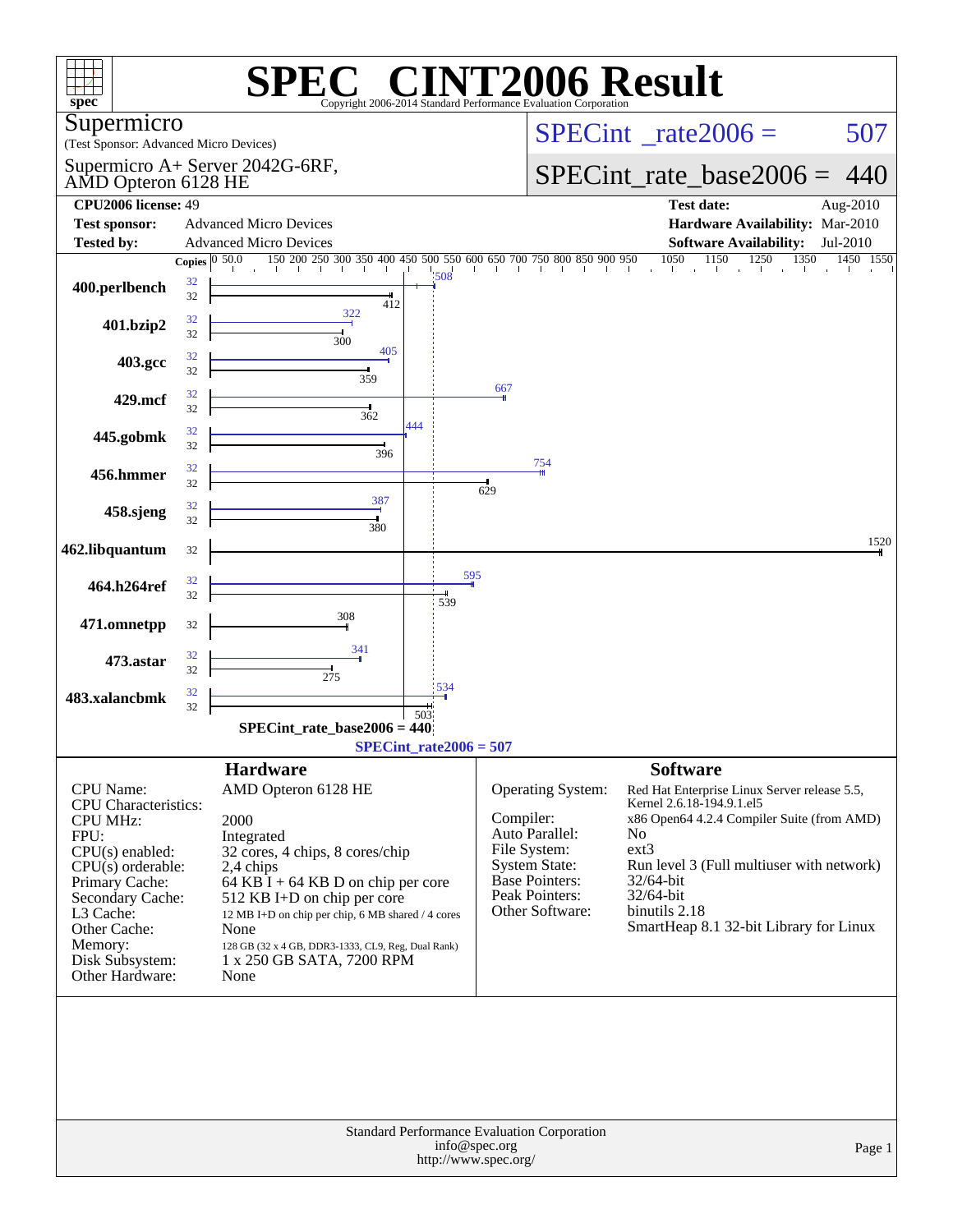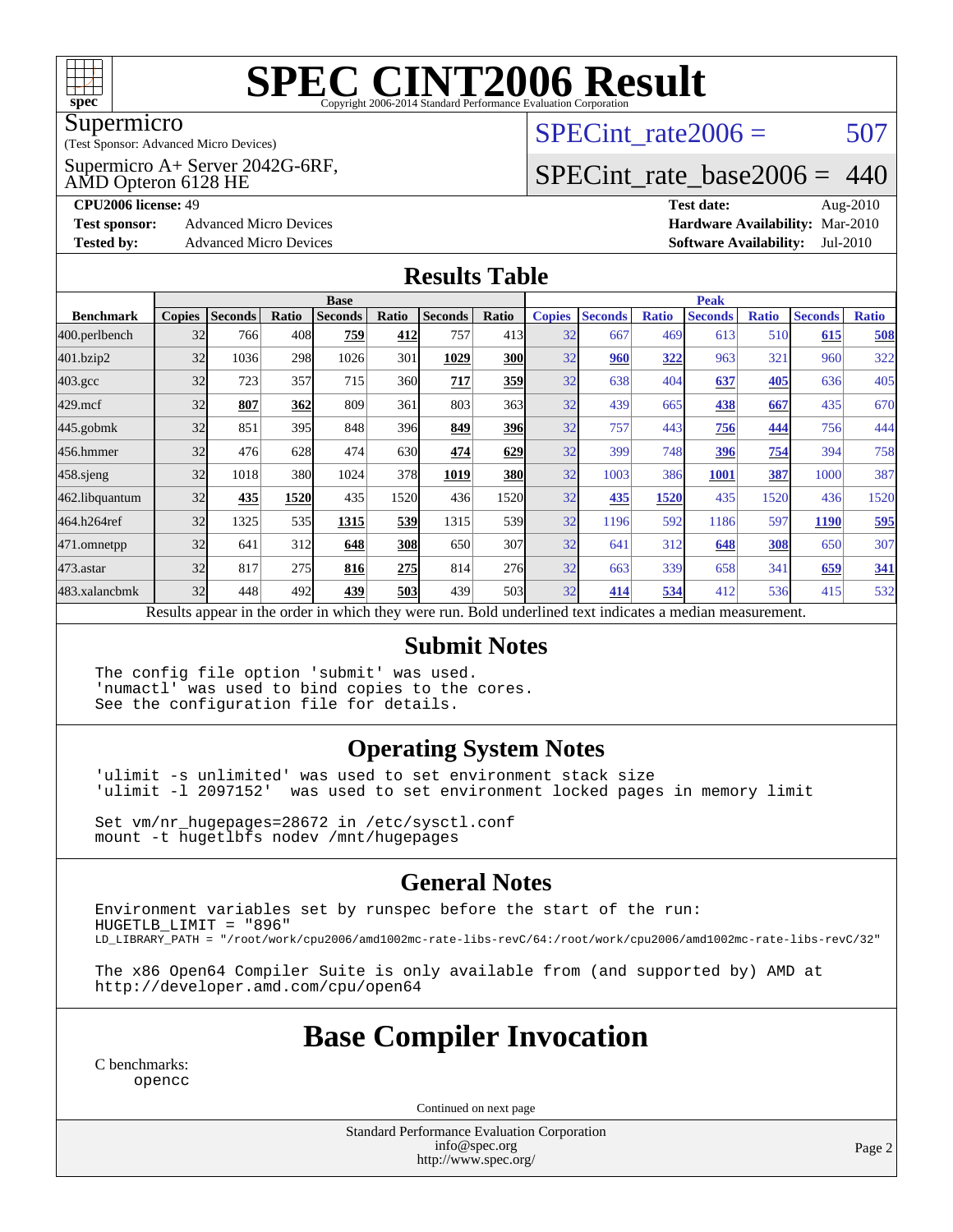

#### Supermicro

(Test Sponsor: Advanced Micro Devices)

Supermicro A+ Server 2042G-6RF,

AMD Opteron 6128 HE

SPECint rate $2006 = 507$ 

### [SPECint\\_rate\\_base2006 =](http://www.spec.org/auto/cpu2006/Docs/result-fields.html#SPECintratebase2006) 440

**[CPU2006 license:](http://www.spec.org/auto/cpu2006/Docs/result-fields.html#CPU2006license)** 49 **[Test date:](http://www.spec.org/auto/cpu2006/Docs/result-fields.html#Testdate)** Aug-2010 **[Test sponsor:](http://www.spec.org/auto/cpu2006/Docs/result-fields.html#Testsponsor)** Advanced Micro Devices **[Hardware Availability:](http://www.spec.org/auto/cpu2006/Docs/result-fields.html#HardwareAvailability)** Mar-2010 **[Tested by:](http://www.spec.org/auto/cpu2006/Docs/result-fields.html#Testedby)** Advanced Micro Devices **[Software Availability:](http://www.spec.org/auto/cpu2006/Docs/result-fields.html#SoftwareAvailability)** Jul-2010

#### **[Results Table](http://www.spec.org/auto/cpu2006/Docs/result-fields.html#ResultsTable)**

|                                                                                                          | <b>Base</b>   |                |       |                |       |                |            | <b>Peak</b>   |                |              |                |              |                |              |
|----------------------------------------------------------------------------------------------------------|---------------|----------------|-------|----------------|-------|----------------|------------|---------------|----------------|--------------|----------------|--------------|----------------|--------------|
| <b>Benchmark</b>                                                                                         | <b>Copies</b> | <b>Seconds</b> | Ratio | <b>Seconds</b> | Ratio | <b>Seconds</b> | Ratio      | <b>Copies</b> | <b>Seconds</b> | <b>Ratio</b> | <b>Seconds</b> | <b>Ratio</b> | <b>Seconds</b> | <b>Ratio</b> |
| 400.perlbench                                                                                            | 32            | 766            | 408   | 759            | 412   | 757            | 413        | 32            | 667            | 469          | 613            | 510          | 615            | 508          |
| 401.bzip2                                                                                                | 32            | 1036           | 298   | 1026           | 301   | 1029           | 300        | 32            | 960            | 322          | 963            | 321          | 960            | 322          |
| $403.\mathrm{gcc}$                                                                                       | 32            | 723            | 357   | 715            | 360I  | 717            | 359        | 32            | 638            | 404          | 637            | 405          | 636            | 405          |
| $429$ .mcf                                                                                               | 32            | 807            | 362   | 809            | 361   | 803            | 363        | 32            | 439            | 665          | 438            | 667          | 435            | 670          |
| $445$ .gobmk                                                                                             | 32            | 851            | 395   | 848            | 396I  | 849            | 396        | 32            | 757            | 443          | 756            | 444          | 756            | 444          |
| 456.hmmer                                                                                                | 32            | 476            | 628   | 474            | 630l  | 474            | 629        | 32            | 399            | 748          | 396            | 754          | 394            | 758          |
| $458$ .sjeng                                                                                             | 32            | 1018           | 380   | 1024           | 378   | 1019           | <b>380</b> | 32            | 1003           | 386          | 1001           | 387          | 1000           | 387          |
| 462.libquantum                                                                                           | 32            | 435            | 1520  | 435            | 1520  | 436            | 1520       | 32            | 435            | 1520         | 435            | 1520         | 436            | 1520         |
| 464.h264ref                                                                                              | 32            | 1325           | 535   | 1315           | 539   | 1315           | 539        | 32            | 1196           | 592          | 1186           | 597          | 1190           | 595          |
| 471.omnetpp                                                                                              | 32            | 641            | 312   | 648            | 308   | 650            | 307        | 32            | 641            | 312          | 648            | 308          | 650            | 307          |
| $473$ . astar                                                                                            | 32            | 817            | 275   | 816            | 275   | 814            | 276        | 32            | 663            | 339          | 658            | 341          | 659            | <u>341</u>   |
| 483.xalancbmk                                                                                            | 32            | 448            | 492   | 439            | 503   | 439            | 503        | 32            | 414            | 534          | 412            | 536          | 415            | 532          |
| Results appear in the order in which they were run. Bold underlined text indicates a median measurement. |               |                |       |                |       |                |            |               |                |              |                |              |                |              |

#### **[Submit Notes](http://www.spec.org/auto/cpu2006/Docs/result-fields.html#SubmitNotes)**

The config file option 'submit' was used. 'numactl' was used to bind copies to the cores. See the configuration file for details.

#### **[Operating System Notes](http://www.spec.org/auto/cpu2006/Docs/result-fields.html#OperatingSystemNotes)**

'ulimit -s unlimited' was used to set environment stack size 'ulimit -l 2097152' was used to set environment locked pages in memory limit

Set vm/nr\_hugepages=28672 in /etc/sysctl.conf mount -t hugetlbfs nodev /mnt/hugepages

#### **[General Notes](http://www.spec.org/auto/cpu2006/Docs/result-fields.html#GeneralNotes)**

Environment variables set by runspec before the start of the run: HUGETLB\_LIMIT = "896" LD\_LIBRARY\_PATH = "/root/work/cpu2006/amd1002mc-rate-libs-revC/64:/root/work/cpu2006/amd1002mc-rate-libs-revC/32"

The x86 Open64 Compiler Suite is only available from (and supported by) AMD at <http://developer.amd.com/cpu/open64>

#### **[Base Compiler Invocation](http://www.spec.org/auto/cpu2006/Docs/result-fields.html#BaseCompilerInvocation)**

[C benchmarks](http://www.spec.org/auto/cpu2006/Docs/result-fields.html#Cbenchmarks): [opencc](http://www.spec.org/cpu2006/results/res2010q3/cpu2006-20100816-12946.flags.html#user_CCbase_Fopencc)

Continued on next page

Standard Performance Evaluation Corporation [info@spec.org](mailto:info@spec.org) <http://www.spec.org/>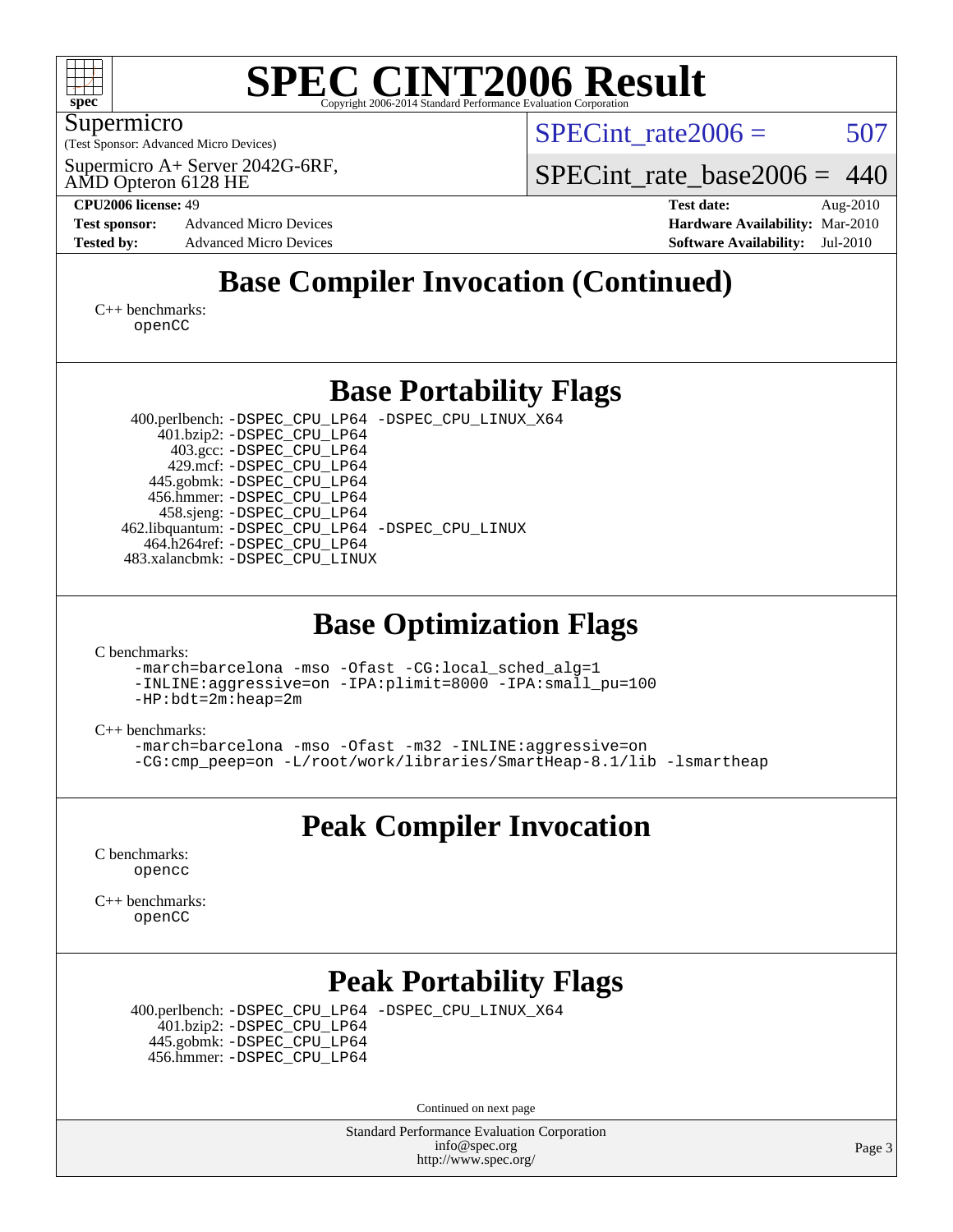

#### Supermicro

(Test Sponsor: Advanced Micro Devices)

Supermicro A+ Server 2042G-6RF,

SPECint rate $2006 = 507$ 

SPECint rate base2006 =  $440$ 

AMD Opteron 6128 HE

**[Tested by:](http://www.spec.org/auto/cpu2006/Docs/result-fields.html#Testedby)** Advanced Micro Devices **[Software Availability:](http://www.spec.org/auto/cpu2006/Docs/result-fields.html#SoftwareAvailability)** Jul-2010

**[CPU2006 license:](http://www.spec.org/auto/cpu2006/Docs/result-fields.html#CPU2006license)** 49 **[Test date:](http://www.spec.org/auto/cpu2006/Docs/result-fields.html#Testdate)** Aug-2010 **[Test sponsor:](http://www.spec.org/auto/cpu2006/Docs/result-fields.html#Testsponsor)** Advanced Micro Devices **Advanced Micro Devices [Hardware Availability:](http://www.spec.org/auto/cpu2006/Docs/result-fields.html#HardwareAvailability)** Mar-2010

## **[Base Compiler Invocation \(Continued\)](http://www.spec.org/auto/cpu2006/Docs/result-fields.html#BaseCompilerInvocation)**

[C++ benchmarks:](http://www.spec.org/auto/cpu2006/Docs/result-fields.html#CXXbenchmarks) [openCC](http://www.spec.org/cpu2006/results/res2010q3/cpu2006-20100816-12946.flags.html#user_CXXbase_FopenCC)

### **[Base Portability Flags](http://www.spec.org/auto/cpu2006/Docs/result-fields.html#BasePortabilityFlags)**

 400.perlbench: [-DSPEC\\_CPU\\_LP64](http://www.spec.org/cpu2006/results/res2010q3/cpu2006-20100816-12946.flags.html#b400.perlbench_basePORTABILITY_DSPEC_CPU_LP64) [-DSPEC\\_CPU\\_LINUX\\_X64](http://www.spec.org/cpu2006/results/res2010q3/cpu2006-20100816-12946.flags.html#b400.perlbench_baseCPORTABILITY_DSPEC_CPU_LINUX_X64) 401.bzip2: [-DSPEC\\_CPU\\_LP64](http://www.spec.org/cpu2006/results/res2010q3/cpu2006-20100816-12946.flags.html#suite_basePORTABILITY401_bzip2_DSPEC_CPU_LP64) 403.gcc: [-DSPEC\\_CPU\\_LP64](http://www.spec.org/cpu2006/results/res2010q3/cpu2006-20100816-12946.flags.html#suite_basePORTABILITY403_gcc_DSPEC_CPU_LP64) 429.mcf: [-DSPEC\\_CPU\\_LP64](http://www.spec.org/cpu2006/results/res2010q3/cpu2006-20100816-12946.flags.html#suite_basePORTABILITY429_mcf_DSPEC_CPU_LP64) 445.gobmk: [-DSPEC\\_CPU\\_LP64](http://www.spec.org/cpu2006/results/res2010q3/cpu2006-20100816-12946.flags.html#suite_basePORTABILITY445_gobmk_DSPEC_CPU_LP64) 456.hmmer: [-DSPEC\\_CPU\\_LP64](http://www.spec.org/cpu2006/results/res2010q3/cpu2006-20100816-12946.flags.html#suite_basePORTABILITY456_hmmer_DSPEC_CPU_LP64) 458.sjeng: [-DSPEC\\_CPU\\_LP64](http://www.spec.org/cpu2006/results/res2010q3/cpu2006-20100816-12946.flags.html#suite_basePORTABILITY458_sjeng_DSPEC_CPU_LP64) 462.libquantum: [-DSPEC\\_CPU\\_LP64](http://www.spec.org/cpu2006/results/res2010q3/cpu2006-20100816-12946.flags.html#suite_basePORTABILITY462_libquantum_DSPEC_CPU_LP64) [-DSPEC\\_CPU\\_LINUX](http://www.spec.org/cpu2006/results/res2010q3/cpu2006-20100816-12946.flags.html#b462.libquantum_baseCPORTABILITY_DSPEC_CPU_LINUX) 464.h264ref: [-DSPEC\\_CPU\\_LP64](http://www.spec.org/cpu2006/results/res2010q3/cpu2006-20100816-12946.flags.html#suite_basePORTABILITY464_h264ref_DSPEC_CPU_LP64) 483.xalancbmk: [-DSPEC\\_CPU\\_LINUX](http://www.spec.org/cpu2006/results/res2010q3/cpu2006-20100816-12946.flags.html#b483.xalancbmk_baseCXXPORTABILITY_DSPEC_CPU_LINUX)

#### **[Base Optimization Flags](http://www.spec.org/auto/cpu2006/Docs/result-fields.html#BaseOptimizationFlags)**

[C benchmarks](http://www.spec.org/auto/cpu2006/Docs/result-fields.html#Cbenchmarks):

[-march=barcelona](http://www.spec.org/cpu2006/results/res2010q3/cpu2006-20100816-12946.flags.html#user_CCbase_F-march_8ea39521cada96f307a04d0b8b9c6ffb) [-mso](http://www.spec.org/cpu2006/results/res2010q3/cpu2006-20100816-12946.flags.html#user_CCbase_F-mso) [-Ofast](http://www.spec.org/cpu2006/results/res2010q3/cpu2006-20100816-12946.flags.html#user_CCbase_F-Ofast) [-CG:local\\_sched\\_alg=1](http://www.spec.org/cpu2006/results/res2010q3/cpu2006-20100816-12946.flags.html#user_CCbase_F-CG:local_sched_alg_2175ca61f1a2717f1ec57b14995b9e7a)

[-INLINE:aggressive=on](http://www.spec.org/cpu2006/results/res2010q3/cpu2006-20100816-12946.flags.html#user_CCbase_F-INLINE:aggressive_e14807c0a1e56a6a83cb25ab07c7ae8a) [-IPA:plimit=8000](http://www.spec.org/cpu2006/results/res2010q3/cpu2006-20100816-12946.flags.html#user_CCbase_F-IPA:plimit_92cba83f3d47f09c7d5368fda93ddbd7) [-IPA:small\\_pu=100](http://www.spec.org/cpu2006/results/res2010q3/cpu2006-20100816-12946.flags.html#user_CCbase_F-IPA:small_pu_900a09767c6929d55c26ea3d32399996) [-HP:bdt=2m:heap=2m](http://www.spec.org/cpu2006/results/res2010q3/cpu2006-20100816-12946.flags.html#user_CCbase_F-HUGEPAGE_855e97383b49831f390a2af16fe7202f)

[C++ benchmarks:](http://www.spec.org/auto/cpu2006/Docs/result-fields.html#CXXbenchmarks)

[-march=barcelona](http://www.spec.org/cpu2006/results/res2010q3/cpu2006-20100816-12946.flags.html#user_CXXbase_F-march_8ea39521cada96f307a04d0b8b9c6ffb) [-mso](http://www.spec.org/cpu2006/results/res2010q3/cpu2006-20100816-12946.flags.html#user_CXXbase_F-mso) [-Ofast](http://www.spec.org/cpu2006/results/res2010q3/cpu2006-20100816-12946.flags.html#user_CXXbase_F-Ofast) [-m32](http://www.spec.org/cpu2006/results/res2010q3/cpu2006-20100816-12946.flags.html#user_CXXbase_F-m32) [-INLINE:aggressive=on](http://www.spec.org/cpu2006/results/res2010q3/cpu2006-20100816-12946.flags.html#user_CXXbase_F-INLINE:aggressive_e14807c0a1e56a6a83cb25ab07c7ae8a) [-CG:cmp\\_peep=on](http://www.spec.org/cpu2006/results/res2010q3/cpu2006-20100816-12946.flags.html#user_CXXbase_F-CG:cmp_peep_ab90c979e95bee1f1f617a32622424ed) [-L/root/work/libraries/SmartHeap-8.1/lib -lsmartheap](http://www.spec.org/cpu2006/results/res2010q3/cpu2006-20100816-12946.flags.html#user_CXXbase_F-L_lib_directory_lsmartheap_9ab549d8336b8b0ffe7b94e3ae706265)

## **[Peak Compiler Invocation](http://www.spec.org/auto/cpu2006/Docs/result-fields.html#PeakCompilerInvocation)**

[C benchmarks](http://www.spec.org/auto/cpu2006/Docs/result-fields.html#Cbenchmarks): [opencc](http://www.spec.org/cpu2006/results/res2010q3/cpu2006-20100816-12946.flags.html#user_CCpeak_Fopencc)

[C++ benchmarks:](http://www.spec.org/auto/cpu2006/Docs/result-fields.html#CXXbenchmarks) [openCC](http://www.spec.org/cpu2006/results/res2010q3/cpu2006-20100816-12946.flags.html#user_CXXpeak_FopenCC)

## **[Peak Portability Flags](http://www.spec.org/auto/cpu2006/Docs/result-fields.html#PeakPortabilityFlags)**

 400.perlbench: [-DSPEC\\_CPU\\_LP64](http://www.spec.org/cpu2006/results/res2010q3/cpu2006-20100816-12946.flags.html#b400.perlbench_peakPORTABILITY_DSPEC_CPU_LP64) [-DSPEC\\_CPU\\_LINUX\\_X64](http://www.spec.org/cpu2006/results/res2010q3/cpu2006-20100816-12946.flags.html#b400.perlbench_peakCPORTABILITY_DSPEC_CPU_LINUX_X64) 401.bzip2: [-DSPEC\\_CPU\\_LP64](http://www.spec.org/cpu2006/results/res2010q3/cpu2006-20100816-12946.flags.html#suite_peakPORTABILITY401_bzip2_DSPEC_CPU_LP64) 445.gobmk: [-DSPEC\\_CPU\\_LP64](http://www.spec.org/cpu2006/results/res2010q3/cpu2006-20100816-12946.flags.html#suite_peakPORTABILITY445_gobmk_DSPEC_CPU_LP64)

456.hmmer: [-DSPEC\\_CPU\\_LP64](http://www.spec.org/cpu2006/results/res2010q3/cpu2006-20100816-12946.flags.html#suite_peakPORTABILITY456_hmmer_DSPEC_CPU_LP64)

Continued on next page

Standard Performance Evaluation Corporation [info@spec.org](mailto:info@spec.org) <http://www.spec.org/>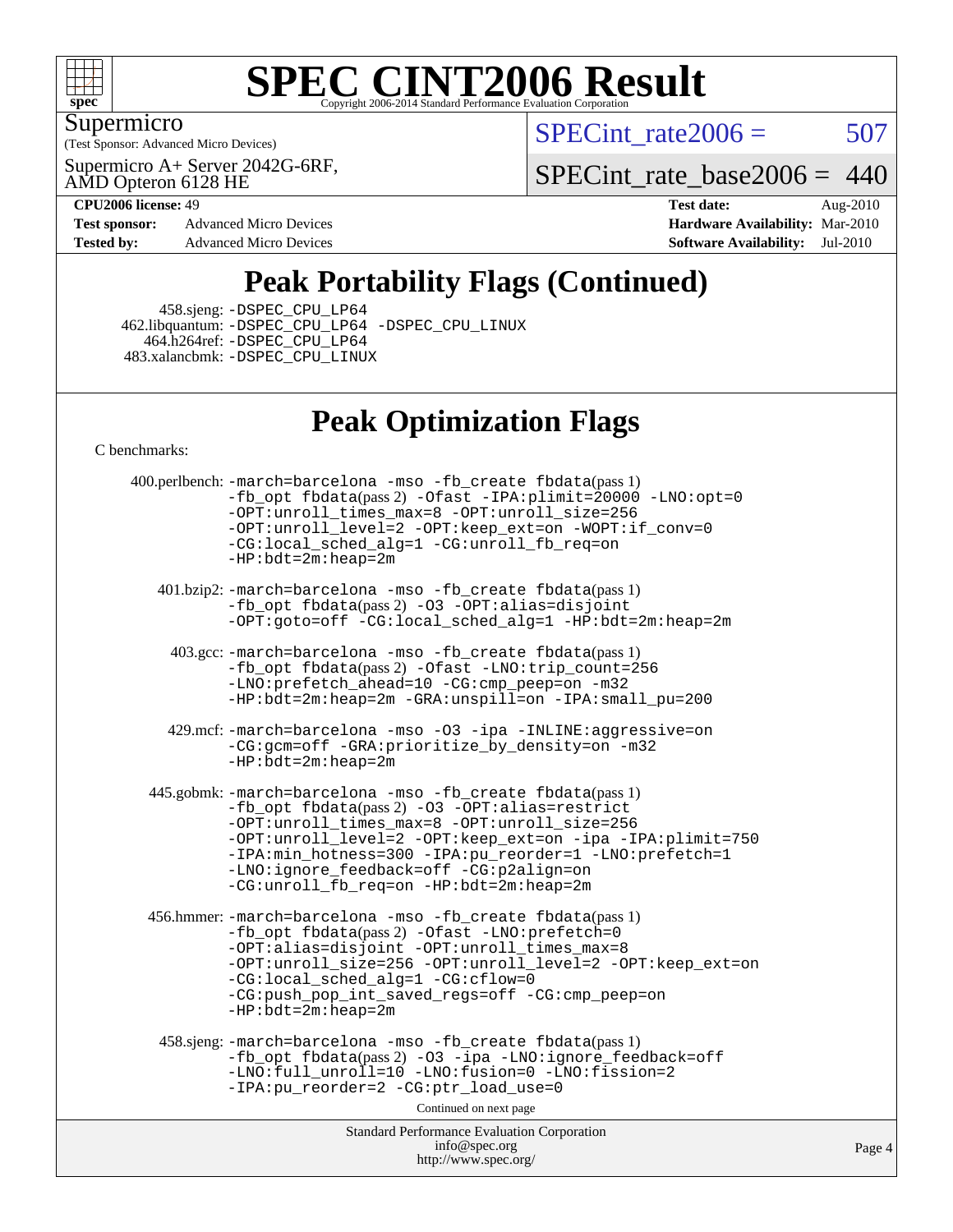

Supermicro

(Test Sponsor: Advanced Micro Devices)

Supermicro A+ Server 2042G-6RF,

 $SPECTnt_rate2006 = 507$ 

 $\overline{4}$ 

[SPECint\\_rate\\_base2006 =](http://www.spec.org/auto/cpu2006/Docs/result-fields.html#SPECintratebase2006) 440

AMD Opteron 6128 HE

**[Test sponsor:](http://www.spec.org/auto/cpu2006/Docs/result-fields.html#Testsponsor)** Advanced Micro Devices **[Hardware Availability:](http://www.spec.org/auto/cpu2006/Docs/result-fields.html#HardwareAvailability)** Mar-2010

**[CPU2006 license:](http://www.spec.org/auto/cpu2006/Docs/result-fields.html#CPU2006license)** 49 **[Test date:](http://www.spec.org/auto/cpu2006/Docs/result-fields.html#Testdate)** Aug-2010 **[Tested by:](http://www.spec.org/auto/cpu2006/Docs/result-fields.html#Testedby)** Advanced Micro Devices **[Software Availability:](http://www.spec.org/auto/cpu2006/Docs/result-fields.html#SoftwareAvailability)** Jul-2010

# **[Peak Portability Flags \(Continued\)](http://www.spec.org/auto/cpu2006/Docs/result-fields.html#PeakPortabilityFlags)**

458.sjeng: [-DSPEC\\_CPU\\_LP64](http://www.spec.org/cpu2006/results/res2010q3/cpu2006-20100816-12946.flags.html#suite_peakPORTABILITY458_sjeng_DSPEC_CPU_LP64)

 462.libquantum: [-DSPEC\\_CPU\\_LP64](http://www.spec.org/cpu2006/results/res2010q3/cpu2006-20100816-12946.flags.html#suite_peakPORTABILITY462_libquantum_DSPEC_CPU_LP64) [-DSPEC\\_CPU\\_LINUX](http://www.spec.org/cpu2006/results/res2010q3/cpu2006-20100816-12946.flags.html#b462.libquantum_peakCPORTABILITY_DSPEC_CPU_LINUX) 464.h264ref: [-DSPEC\\_CPU\\_LP64](http://www.spec.org/cpu2006/results/res2010q3/cpu2006-20100816-12946.flags.html#suite_peakPORTABILITY464_h264ref_DSPEC_CPU_LP64) 483.xalancbmk: [-DSPEC\\_CPU\\_LINUX](http://www.spec.org/cpu2006/results/res2010q3/cpu2006-20100816-12946.flags.html#b483.xalancbmk_peakCXXPORTABILITY_DSPEC_CPU_LINUX)

## **[Peak Optimization Flags](http://www.spec.org/auto/cpu2006/Docs/result-fields.html#PeakOptimizationFlags)**

[C benchmarks](http://www.spec.org/auto/cpu2006/Docs/result-fields.html#Cbenchmarks):

| 400.perlbench: -march=barcelona -mso -fb_create fbdata(pass 1)<br>-fb_opt fbdata(pass 2) -Ofast -IPA:plimit=20000 -LNO:opt=0<br>-OPT:unroll_times_max=8 -OPT:unroll_size=256<br>-OPT:unroll_level=2 -OPT:keep_ext=on -WOPT:if_conv=0<br>-CG:local_sched_alg=1 -CG:unroll_fb_req=on<br>$-HP:bdt=2m:heap=2m$                                                                |      |
|---------------------------------------------------------------------------------------------------------------------------------------------------------------------------------------------------------------------------------------------------------------------------------------------------------------------------------------------------------------------------|------|
| 401.bzip2: -march=barcelona -mso -fb_create fbdata(pass 1)<br>-fb_opt fbdata(pass 2) -03 -OPT:alias=disjoint<br>$-OPT:qoto=off - CG:local \sched \alq=1 - HP:bdt=2m:heap=2m$                                                                                                                                                                                              |      |
| 403.gcc: -march=barcelona -mso -fb_create fbdata(pass 1)<br>-fb_opt fbdata(pass 2) -Ofast -LNO:trip_count=256<br>-LNO:prefetch_ahead=10 -CG:cmp_peep=on -m32<br>$-HP:bdt=2m:heap=2m -GRA:unspill=on -IPA:small pu=200$                                                                                                                                                    |      |
| 429.mcf: -march=barcelona -mso -03 -ipa -INLINE:aggressive=on<br>-CG:gcm=off -GRA:prioritize_by_density=on -m32<br>$-HP:bdt=2m:heap=2m$                                                                                                                                                                                                                                   |      |
| 445.gobmk: -march=barcelona -mso -fb_create fbdata(pass 1)<br>-fb_opt fbdata(pass 2) -03 -OPT:alias=restrict<br>-OPT:unroll_times_max=8 -OPT:unroll_size=256<br>-OPT:unroll_level=2 -OPT:keep_ext=on -ipa -IPA:plimit=750<br>-IPA:min_hotness=300 -IPA:pu_reorder=1 -LNO:prefetch=1<br>-LNO:ignore feedback=off -CG:p2align=on<br>-CG:unroll_fb_req=on -HP:bdt=2m:heap=2m |      |
| 456.hmmer: -march=barcelona -mso -fb_create fbdata(pass 1)<br>-fb_opt fbdata(pass 2) -Ofast -LNO:prefetch=0<br>-OPT:alias=disjoint -OPT:unroll_times_max=8<br>-OPT:unroll_size=256 -OPT:unroll_level=2 -OPT:keep_ext=on<br>-CG:local_sched_alg=1 -CG:cflow=0<br>-CG:push_pop_int_saved_regs=off -CG:cmp_peep=on<br>$-HP:bdt=2m:heap=2m$                                   |      |
| 458.sjeng: -march=barcelona -mso -fb_create fbdata(pass 1)<br>-fb_opt fbdata(pass 2) -03 -ipa -LNO:ignore_feedback=off<br>-LNO:full_unroll=10 -LNO:fusion=0 -LNO:fission=2<br>-IPA:pu_reorder=2 -CG:ptr_load_use=0                                                                                                                                                        |      |
| Continued on next page                                                                                                                                                                                                                                                                                                                                                    |      |
| <b>Standard Performance Evaluation Corporation</b><br>info@spec.org<br>http://www.spec.org/                                                                                                                                                                                                                                                                               | Page |